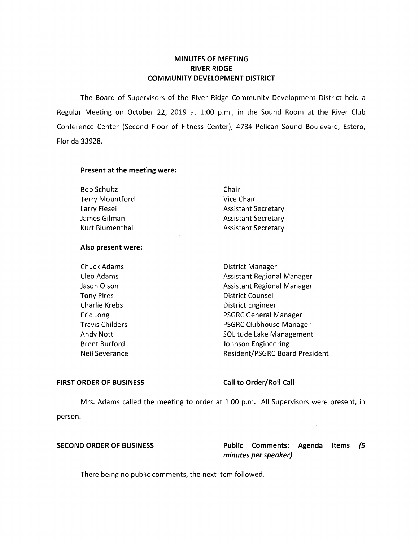# **MINUTES OF MEETING RIVER RIDGE COMMUNITY DEVELOPMENT DISTRICT**

The Board of Supervisors of the River Ridge Community Development District held a Regular Meeting on October 22, 2019 at 1:00 p.m., in the Sound Room at the River Club Conference Center (Second Floor of Fitness Center), 4784 Pelican Sound Boulevard, Estero, Florida 33928.

### **Present at the meeting were:**

| <b>Bob Schultz</b>     | Chair                      |
|------------------------|----------------------------|
| <b>Terry Mountford</b> | Vice Chair                 |
| Larry Fiesel           | <b>Assistant Secretary</b> |
| James Gilman           | <b>Assistant Secretary</b> |
| Kurt Blumenthal        | <b>Assistant Secretary</b> |

### **Also present were:**

| <b>Chuck Adams</b>     | <b>District Manager</b>               |
|------------------------|---------------------------------------|
| Cleo Adams             | <b>Assistant Regional Manager</b>     |
| Jason Olson            | <b>Assistant Regional Manager</b>     |
| <b>Tony Pires</b>      | <b>District Counsel</b>               |
| Charlie Krebs          | District Engineer                     |
| Eric Long              | <b>PSGRC General Manager</b>          |
| <b>Travis Childers</b> | <b>PSGRC Clubhouse Manager</b>        |
| Andy Nott              | SOLitude Lake Management              |
| <b>Brent Burford</b>   | Johnson Engineering                   |
| Neil Severance         | <b>Resident/PSGRC Board President</b> |
|                        |                                       |

#### **FIRST ORDER OF BUSINESS Call to Order/Roll Call**

Mrs. Adams called the meeting to order at 1:00 p.m. All Supervisors were present, in person.

**SECOND ORDER OF BUSINESS Public Comments: Agenda Items (5 minutes per speaker)** 

J.

There being no public comments, the next item followed.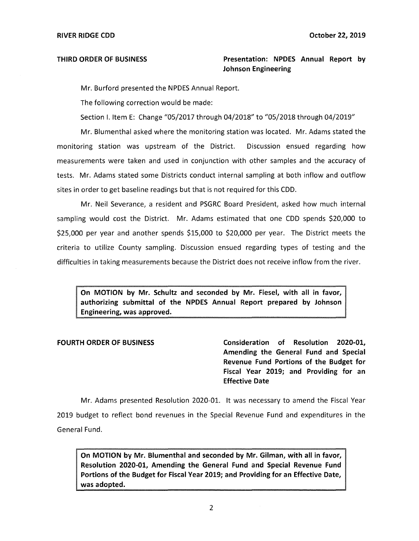# **THIRD ORDER OF BUSINESS Presentation: NPDES Annual Report by Johnson Engineering**

Mr. Burford presented the NPDES Annual Report.

The following correction would be made:

Section I. Item E: Change "05/2017 through 04/2018" to "05/2018 through 04/2019"

Mr. Blumenthal asked where the monitoring station was located. Mr. Adams stated the monitoring station was upstream of the District. Discussion ensued regarding how measurements were taken and used in conjunction with other samples and the accuracy of tests. Mr. Adams stated some Districts conduct internal sampling at both inflow and outflow sites in order to get baseline readings but that is not required for this CDD.

Mr. Neil Severance, a resident and PSGRC Board President, asked how much internal sampling would cost the District. Mr. Adams estimated that one CDD spends \$20,000 to \$25,000 per year and another spends \$15,000 to \$20,000 per year. The District meets the criteria to utilize County sampling. Discussion ensued regarding types of testing and the difficulties in taking measurements because the District does not receive inflow from the river.

**On MOTION by Mr. Schultz and seconded by Mr. Fiesel, with all in favor, authorizing submittal of the NPDES Annual Report prepared by Johnson Engineering, was approved.** 

**FOURTH ORDER OF BUSINESS Consideration of Resolution 2020-01, Amending the General Fund and Special Revenue Fund Portions of the Budget for Fiscal Year 2019; and Providing for an Effective Date** 

Mr. Adams presented Resolution 2020-01. It was necessary to amend the Fiscal Year 2019 budget to reflect bond revenues in the Special Revenue Fund and expenditures in the General Fund.

**On MOTION by Mr. Blumenthal and seconded by Mr. Gilman, with all in favor, Resolution 2020-01, Amending the General Fund and Special Revenue Fund Portions of the Budget for Fiscal Year 2019; and Providing for an Effective Date, was adopted.**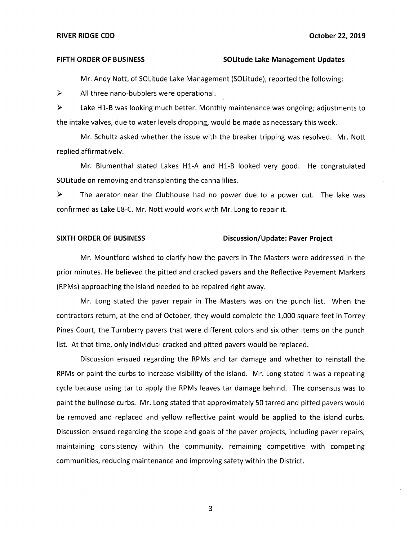#### FIFTH ORDER OF BUSINESS **Solitude Lake Management Updates**

Mr. Andy Nott, of SOLitude Lake Management (SOLitude), reported the following:

► All three nano-bubblers were operational.

► Lake Hl-B was looking much better. Monthly maintenance was ongoing; adjustments to the intake valves, due to water levels dropping, would be made as necessary this week.

Mr. Schultz asked whether the issue with the breaker tripping was resolved. Mr. Nott replied affirmatively.

Mr. Blumenthal stated Lakes Hl-A and Hl-B looked very good. He congratulated SOLitude on removing and transplanting the canna lilies.

 $\triangleright$  The aerator near the Clubhouse had no power due to a power cut. The lake was confirmed as Lake E8-C. Mr. Nott would work with Mr. Long to repair it.

#### **SIXTH ORDER OF BUSINESS Discussion/Update: Paver Project**

Mr. Mountford wished to clarify how the pavers in The Masters were addressed in the prior minutes. He believed the pitted and cracked pavers and the Reflective Pavement Markers (RPMs) approaching the island needed to be repaired right away.

Mr. Long stated the paver repair in The Masters was on the punch list. When the contractors return, at the end of October, they would complete the 1,000 square feet in Torrey Pines Court, the Turnberry pavers that were different colors and six other items on the punch list. At that time, only individual cracked and pitted pavers would be replaced.

Discussion ensued regarding the RPMs and tar damage and whether to reinstall the RPMs or paint the curbs to increase visibility of the island. Mr. Long stated it was a repeating cycle because using tar to apply the RPMs leaves tar damage behind. The consensus was to paint the bullnose curbs. Mr. Long stated that approximately 50 tarred and pitted pavers would be removed and replaced and yellow reflective paint would be applied to the island curbs. Discussion ensued regarding the scope and goals of the paver projects, including paver repairs, maintaining consistency within the community, remaining competitive with competing communities, reducing maintenance and improving safety within the District.

3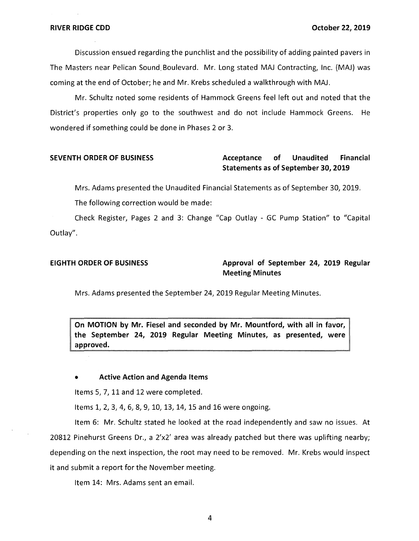Discussion ensued regarding the punchlist and the possibility of adding painted pavers in The Masters near Pelican Sound. Boulevard. Mr. Long stated MAJ Contracting, Inc. (MAJ) was coming at the end of October; he and Mr. Krebs scheduled a walkthrough with MAJ.

Mr. Schultz noted some residents of Hammock Greens feel left out and noted that the District's properties only go to the southwest and do not include Hammock Greens. He wondered if something could be done in Phases 2 or 3.

# **SEVENTH ORDER OF BUSINESS Acceptance of Unaudited Financial Statements as of September 30, 2019**

Mrs. Adams presented the Unaudited Financial Statements as of September 30, 2019.

The following correction would be made:

Check Register, Pages 2 and 3: Change "Cap Outlay - GC Pump Station" to "Capital Outlay".

# **EIGHTH ORDER OF BUSINESS Approval of September 24, 2019 Regular Meeting· Minutes**

Mrs. Adams presented the September 24, 2019 Regular Meeting Minutes.

**On MOTION by Mr. Fiesel and seconded by Mr. Mountford, with all in favor, the September 24, 2019 Regular Meeting Minutes, as presented, were approved.** 

• **Active Action and Agenda Items** 

Items 5, 7, 11 and 12 were completed.

Items 1, 2, 3, 4, 6, 8, 9, 10, 13, 14, 15 and 16 were ongoing.

Item 6: Mr. Schultz stated he looked at the road independently and saw no issues. At 20812 Pinehurst Greens Dr., a 2'x2' area was already patched but there was uplifting nearby; depending on the next inspection, the root may need to be removed. Mr. Krebs would inspect it and submit a report for the November meeting.

Item 14: Mrs. Adams sent an email.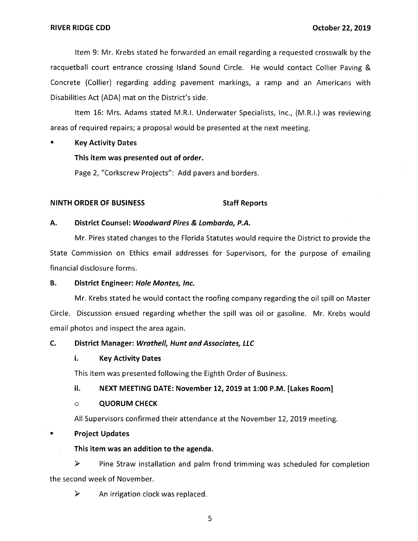Item 9: Mr. Krebs stated he forwarded an email regarding a requested crosswalk by the racquetball court entrance crossing Island Sound Circle. He would contact Collier Paving & Concrete (Collier) regarding adding pavement markings, a ramp and an Americans with Disabilities Act (ADA) mat on the District's side.

Item 16: Mrs. Adams stated M.R.I. Underwater Specialists, Inc., (M.R.1.) was reviewing areas of required repairs; a proposal would be presented at the next meeting.

### • **Key Activity Dates**

# **This item was presented out of order.**

Page 2, "Corkscrew Projects": Add pavers and borders.

# **NINTH ORDER OF BUSINESS** Staff Reports

### **A. District Counsel: Woodward Pires & Lombardo***1* **P.A.**

Mr. Pires stated changes to the Florida Statutes would require the District to provide the State Commission on Ethics email addresses for Supervisors, for the purpose of emailing financial disclosure forms.

### **B.** District Engineer: Hole Montes, Inc.

Mr. Krebs stated he would contact the roofing company regarding the oil spill on Master Circle. Discussion ensued regarding whether the spill was oil or gasoline. Mr. Krebs would email photos and inspect the area again.

### **C.** District Manager: Wrathell, Hunt and Associates, LLC

### **i. Key Activity Dates**

This item was presented following the Eighth Order of Business.

# **ii. NEXT MEETING DATE: November 12, 2019 at 1:00 P.M. [Lakes Room]**

### o **QUORUM CHECK**

All Supervisors confirmed their attendance at the November 12, 2019 meeting.

# ■ **Project Updates**

# **This item was an addition to the agenda.**

► Pine Straw installation and palm frond trimming was scheduled for completion the second week of November.

► An irrigation clock was replaced.

5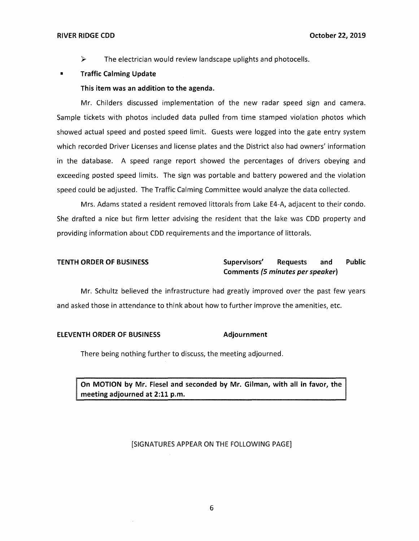#### **RIVER RIDGE CDD October 22, 2019**

 $\triangleright$  The electrician would review landscape uplights and photocells.

### **Traffic Calming Update**

#### **This item was an addition to the agenda.**

Mr. Childers discussed implementation of the new radar speed sign and camera. Sample tickets with photos included data pulled from time stamped violation photos which showed actual speed and posted speed limit. Guests were logged into the gate entry system which recorded Driver Licenses and license plates and the District also had owners' information in the database. A speed range report showed the percentages of drivers obeying and exceeding posted speed limits. The sign was portable and battery powered and the violation speed could be adjusted. The Traffic Calming Committee would analyze the data collected.

Mrs. Adams stated a resident removed littorals from Lake E4-A, adjacent to their condo. She drafted a nice but firm letter advising the resident that the lake was CDD property and providing information about CDD requirements and the importance of littorals.

# **TENTH ORDER OF BUSINESS Supervisors' Requests and Public Comments (5 minutes per speaker)**

Mr. Schultz believed the infrastructure had greatly improved over the past few years and asked those in attendance to think about how to further improve the amenities, etc.

#### **ELEVENTH ORDER OF BUSINESS Adjournment**

There being nothing further to discuss, the meeting adjourned.

**On MOTION by Mr. Fiesel and seconded by Mr. Gilman, with all in favor, the meeting adjourned at 2:11 p.m.** 

#### [SIGNATURES APPEAR ON THE FOLLOWING PAGE]